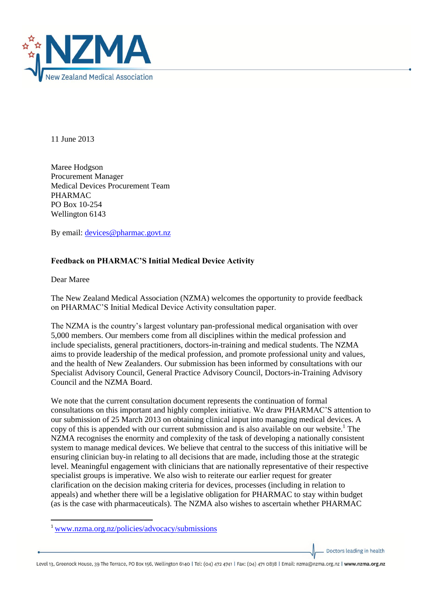

11 June 2013

Maree Hodgson Procurement Manager Medical Devices Procurement Team PHARMAC PO Box 10-254 Wellington 6143

By email: [devices@pharmac.govt.nz](mailto:devices@pharmac.govt.nz)

## **Feedback on PHARMAC'S Initial Medical Device Activity**

Dear Maree

**.** 

The New Zealand Medical Association (NZMA) welcomes the opportunity to provide feedback on PHARMAC'S Initial Medical Device Activity consultation paper.

The NZMA is the country's largest voluntary pan-professional medical organisation with over 5,000 members. Our members come from all disciplines within the medical profession and include specialists, general practitioners, doctors-in-training and medical students. The NZMA aims to provide leadership of the medical profession, and promote professional unity and values, and the health of New Zealanders. Our submission has been informed by consultations with our Specialist Advisory Council, General Practice Advisory Council, Doctors-in-Training Advisory Council and the NZMA Board.

We note that the current consultation document represents the continuation of formal consultations on this important and highly complex initiative. We draw PHARMAC'S attention to our submission of 25 March 2013 on obtaining clinical input into managing medical devices. A copy of this is appended with our current submission and is also available on our website.<sup>1</sup> The NZMA recognises the enormity and complexity of the task of developing a nationally consistent system to manage medical devices. We believe that central to the success of this initiative will be ensuring clinician buy-in relating to all decisions that are made, including those at the strategic level. Meaningful engagement with clinicians that are nationally representative of their respective specialist groups is imperative. We also wish to reiterate our earlier request for greater clarification on the decision making criteria for devices, processes (including in relation to appeals) and whether there will be a legislative obligation for PHARMAC to stay within budget (as is the case with pharmaceuticals). The NZMA also wishes to ascertain whether PHARMAC

Doctors leading in health

<sup>1</sup> [www.nzma.org.nz/policies/advocacy/submissions](http://www.nzma.org.nz/policies/advocacy/submissions)